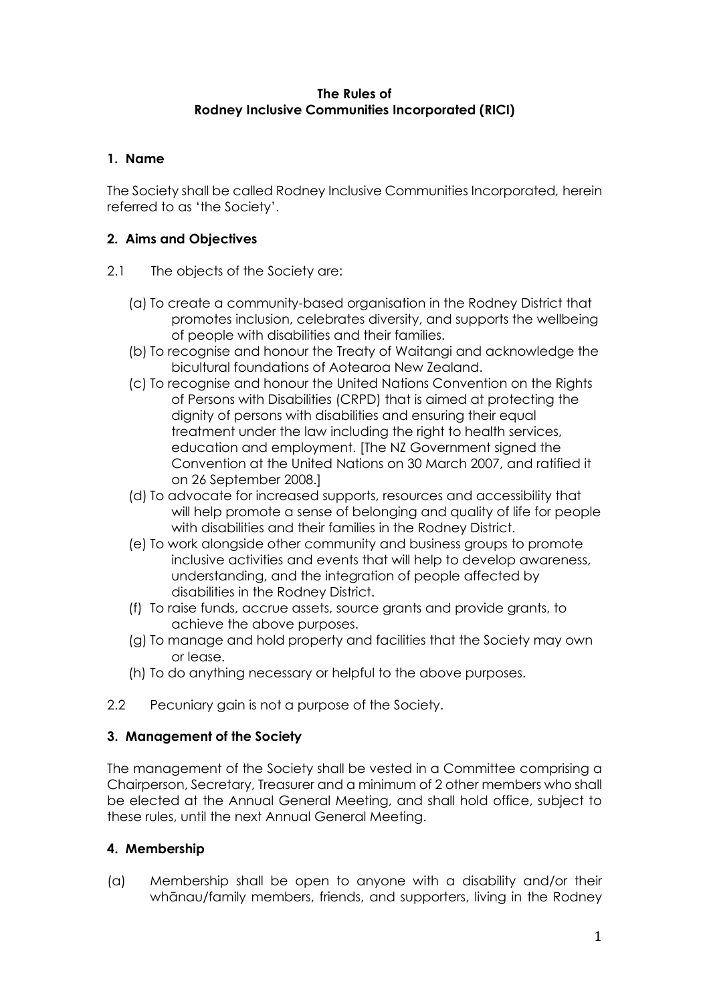#### **The Rules of Rodney Inclusive Communities Incorporated (RICI)**

## **1. Name**

The Society shall be called Rodney Inclusive Communities Incorporated*,* herein referred to as 'the Society'.

# **2. Aims and Objectives**

- 2.1 The objects of the Society are:
	- (a) To create a community-based organisation in the Rodney District that promotes inclusion, celebrates diversity, and supports the wellbeing of people with disabilities and their families.
	- (b) To recognise and honour the Treaty of Waitangi and acknowledge the bicultural foundations of Aotearoa New Zealand.
	- (c) To recognise and honour the United Nations Convention on the Rights of Persons with Disabilities (CRPD) that is aimed at protecting the dignity of persons with disabilities and ensuring their equal treatment under the law including the right to health services, education and employment. [The NZ Government signed the Convention at the United Nations on 30 March 2007, and ratified it on 26 September 2008.]
	- (d) To advocate for increased supports, resources and accessibility that will help promote a sense of belonging and quality of life for people with disabilities and their families in the Rodney District.
	- (e) To work alongside other community and business groups to promote inclusive activities and events that will help to develop awareness, understanding, and the integration of people affected by disabilities in the Rodney District.
	- (f) To raise funds, accrue assets, source grants and provide grants, to achieve the above purposes.
	- (g) To manage and hold property and facilities that the Society may own or lease.
	- (h) To do anything necessary or helpful to the above purposes.
- 2.2 Pecuniary gain is not a purpose of the Society.

### **3. Management of the Society**

The management of the Society shall be vested in a Committee comprising a Chairperson, Secretary, Treasurer and a minimum of 2 other members who shall be elected at the Annual General Meeting, and shall hold office, subject to these rules, until the next Annual General Meeting.

### **4. Membership**

(a) Membership shall be open to anyone with a disability and/or their whānau/family members, friends, and supporters, living in the Rodney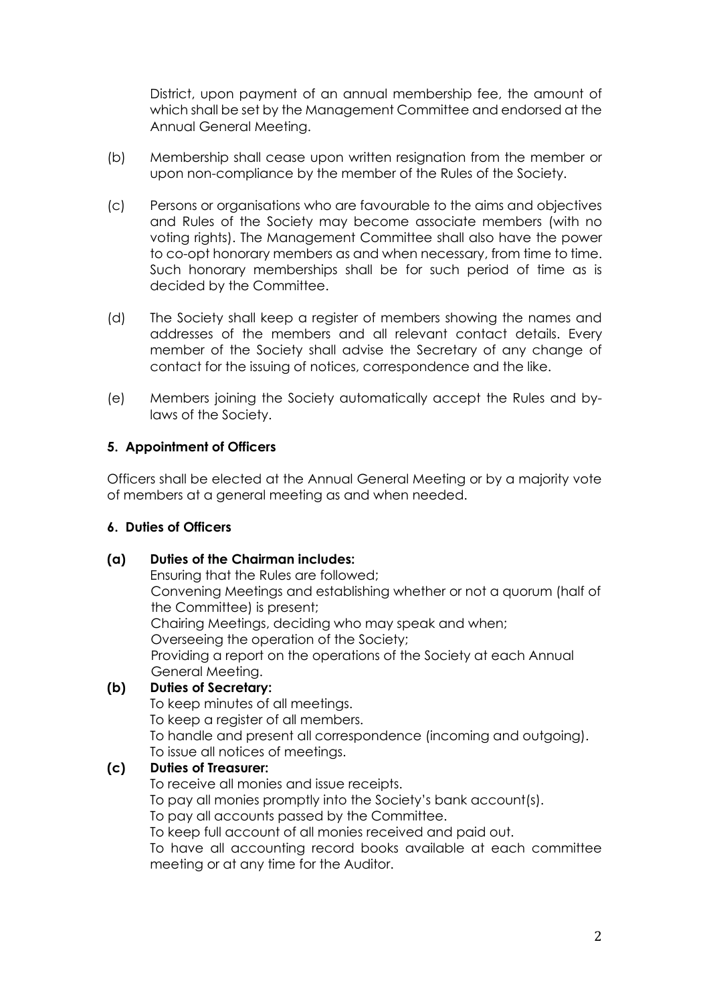District, upon payment of an annual membership fee, the amount of which shall be set by the Management Committee and endorsed at the Annual General Meeting.

- (b) Membership shall cease upon written resignation from the member or upon non-compliance by the member of the Rules of the Society.
- (c) Persons or organisations who are favourable to the aims and objectives and Rules of the Society may become associate members (with no voting rights). The Management Committee shall also have the power to co-opt honorary members as and when necessary, from time to time. Such honorary memberships shall be for such period of time as is decided by the Committee.
- (d) The Society shall keep a register of members showing the names and addresses of the members and all relevant contact details. Every member of the Society shall advise the Secretary of any change of contact for the issuing of notices, correspondence and the like.
- (e) Members joining the Society automatically accept the Rules and bylaws of the Society.

### **5. Appointment of Officers**

Officers shall be elected at the Annual General Meeting or by a majority vote of members at a general meeting as and when needed.

#### **6. Duties of Officers**

#### **(a) Duties of the Chairman includes:**

Ensuring that the Rules are followed; Convening Meetings and establishing whether or not a quorum (half of the Committee) is present; Chairing Meetings, deciding who may speak and when; Overseeing the operation of the Society; Providing a report on the operations of the Society at each Annual General Meeting.

#### **(b) Duties of Secretary:**

To keep minutes of all meetings. To keep a register of all members. To handle and present all correspondence (incoming and outgoing). To issue all notices of meetings.

## **(c) Duties of Treasurer:**

To receive all monies and issue receipts.

To pay all monies promptly into the Society's bank account(s).

To pay all accounts passed by the Committee.

To keep full account of all monies received and paid out.

To have all accounting record books available at each committee meeting or at any time for the Auditor.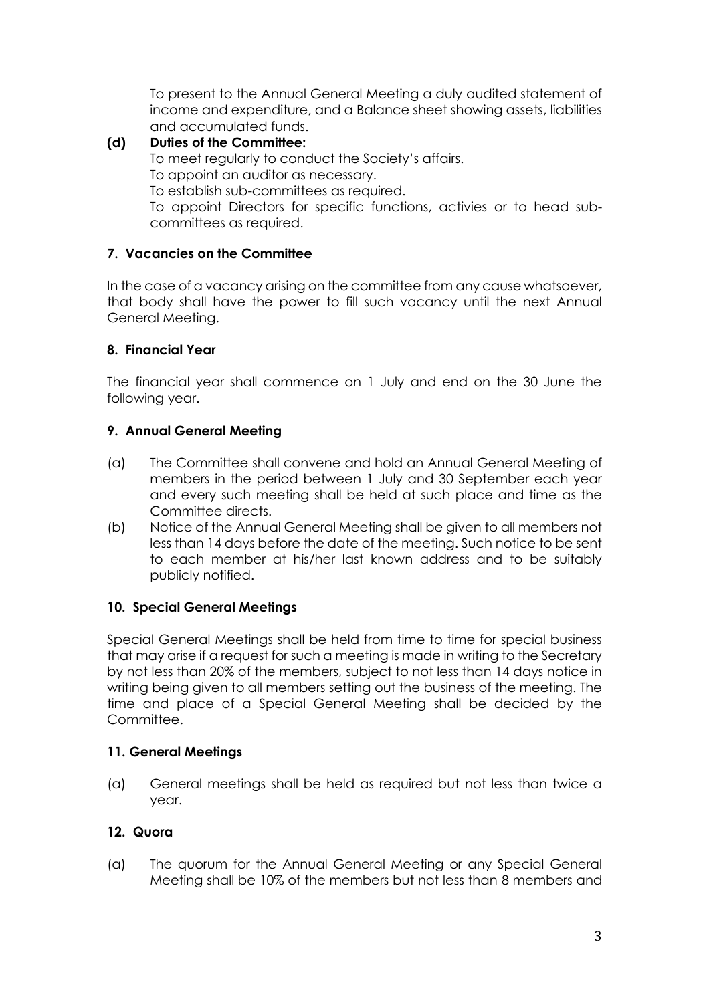To present to the Annual General Meeting a duly audited statement of income and expenditure, and a Balance sheet showing assets, liabilities and accumulated funds.

#### **(d) Duties of the Committee:** To meet regularly to conduct the Society's affairs. To appoint an auditor as necessary. To establish sub-committees as required. To appoint Directors for specific functions, activies or to head subcommittees as required.

# **7. Vacancies on the Committee**

In the case of a vacancy arising on the committee from any cause whatsoever, that body shall have the power to fill such vacancy until the next Annual General Meeting.

### **8. Financial Year**

The financial year shall commence on 1 July and end on the 30 June the following year.

## **9. Annual General Meeting**

- (a) The Committee shall convene and hold an Annual General Meeting of members in the period between 1 July and 30 September each year and every such meeting shall be held at such place and time as the Committee directs.
- (b) Notice of the Annual General Meeting shall be given to all members not less than 14 days before the date of the meeting. Such notice to be sent to each member at his/her last known address and to be suitably publicly notified.

### **10. Special General Meetings**

Special General Meetings shall be held from time to time for special business that may arise if a request for such a meeting is made in writing to the Secretary by not less than 20% of the members, subject to not less than 14 days notice in writing being given to all members setting out the business of the meeting. The time and place of a Special General Meeting shall be decided by the Committee.

### **11. General Meetings**

(a) General meetings shall be held as required but not less than twice a year.

# **12. Quora**

(a) The quorum for the Annual General Meeting or any Special General Meeting shall be 10% of the members but not less than 8 members and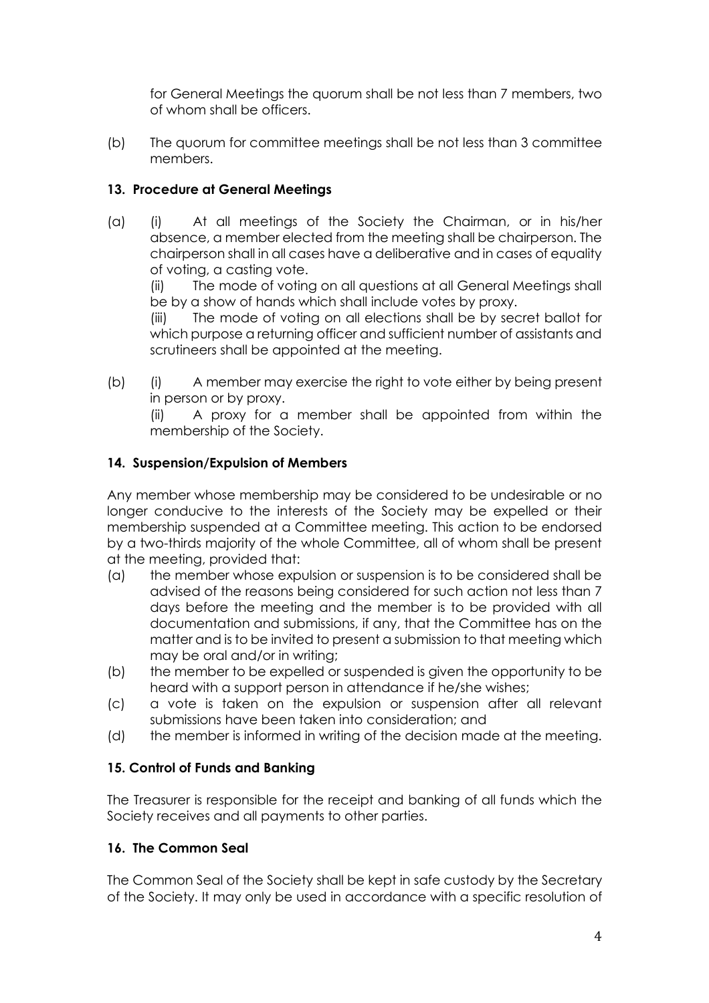for General Meetings the quorum shall be not less than 7 members, two of whom shall be officers.

(b) The quorum for committee meetings shall be not less than 3 committee members.

# **13. Procedure at General Meetings**

(a) (i) At all meetings of the Society the Chairman, or in his/her absence, a member elected from the meeting shall be chairperson. The chairperson shall in all cases have a deliberative and in cases of equality of voting, a casting vote.

(ii) The mode of voting on all questions at all General Meetings shall be by a show of hands which shall include votes by proxy.

(iii) The mode of voting on all elections shall be by secret ballot for which purpose a returning officer and sufficient number of assistants and scrutineers shall be appointed at the meeting.

(b) (i) A member may exercise the right to vote either by being present in person or by proxy.

(ii) A proxy for a member shall be appointed from within the membership of the Society.

## **14. Suspension/Expulsion of Members**

Any member whose membership may be considered to be undesirable or no longer conducive to the interests of the Society may be expelled or their membership suspended at a Committee meeting. This action to be endorsed by a two-thirds majority of the whole Committee, all of whom shall be present at the meeting, provided that:

- (a) the member whose expulsion or suspension is to be considered shall be advised of the reasons being considered for such action not less than 7 days before the meeting and the member is to be provided with all documentation and submissions, if any, that the Committee has on the matter and is to be invited to present a submission to that meeting which may be oral and/or in writing;
- (b) the member to be expelled or suspended is given the opportunity to be heard with a support person in attendance if he/she wishes;
- (c) a vote is taken on the expulsion or suspension after all relevant submissions have been taken into consideration; and
- (d) the member is informed in writing of the decision made at the meeting.

# **15. Control of Funds and Banking**

The Treasurer is responsible for the receipt and banking of all funds which the Society receives and all payments to other parties.

### **16. The Common Seal**

The Common Seal of the Society shall be kept in safe custody by the Secretary of the Society. It may only be used in accordance with a specific resolution of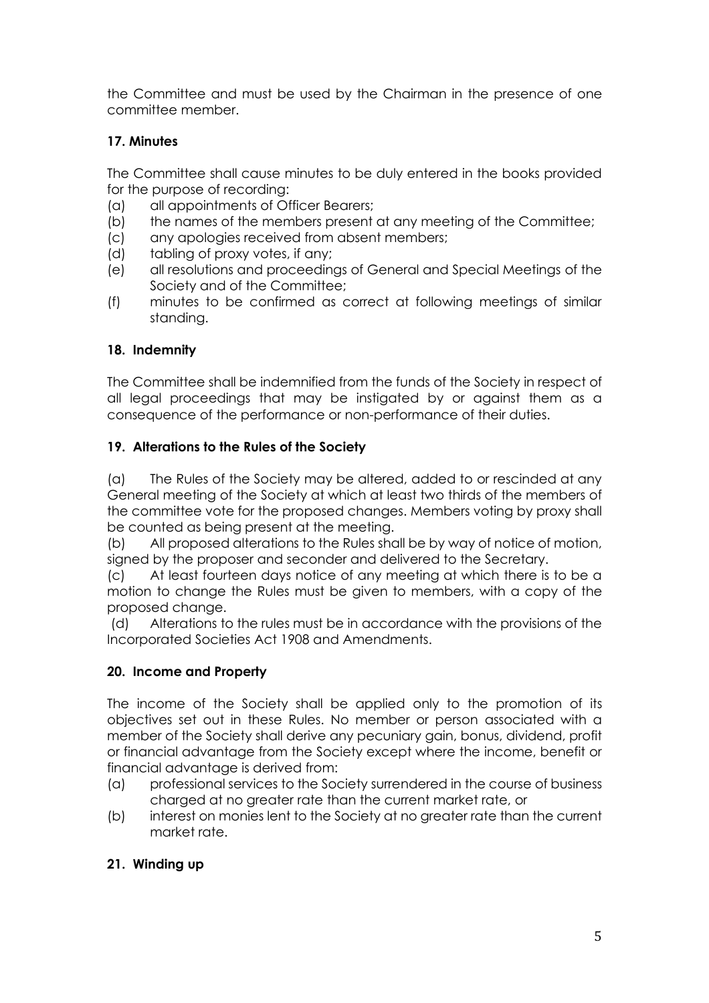the Committee and must be used by the Chairman in the presence of one committee member.

# **17. Minutes**

The Committee shall cause minutes to be duly entered in the books provided for the purpose of recording:

- (a) all appointments of Officer Bearers;
- (b) the names of the members present at any meeting of the Committee;
- (c) any apologies received from absent members;
- (d) tabling of proxy votes, if any;
- (e) all resolutions and proceedings of General and Special Meetings of the Society and of the Committee;
- (f) minutes to be confirmed as correct at following meetings of similar standing.

# **18. Indemnity**

The Committee shall be indemnified from the funds of the Society in respect of all legal proceedings that may be instigated by or against them as a consequence of the performance or non-performance of their duties.

# **19. Alterations to the Rules of the Society**

(a) The Rules of the Society may be altered, added to or rescinded at any General meeting of the Society at which at least two thirds of the members of the committee vote for the proposed changes. Members voting by proxy shall be counted as being present at the meeting.

(b) All proposed alterations to the Rules shall be by way of notice of motion, signed by the proposer and seconder and delivered to the Secretary.

(c) At least fourteen days notice of any meeting at which there is to be a motion to change the Rules must be given to members, with a copy of the proposed change.

(d) Alterations to the rules must be in accordance with the provisions of the Incorporated Societies Act 1908 and Amendments.

# **20. Income and Property**

The income of the Society shall be applied only to the promotion of its objectives set out in these Rules. No member or person associated with a member of the Society shall derive any pecuniary gain, bonus, dividend, profit or financial advantage from the Society except where the income, benefit or financial advantage is derived from:

- (a) professional services to the Society surrendered in the course of business charged at no greater rate than the current market rate, or
- (b) interest on monies lent to the Society at no greater rate than the current market rate.

# **21. Winding up**